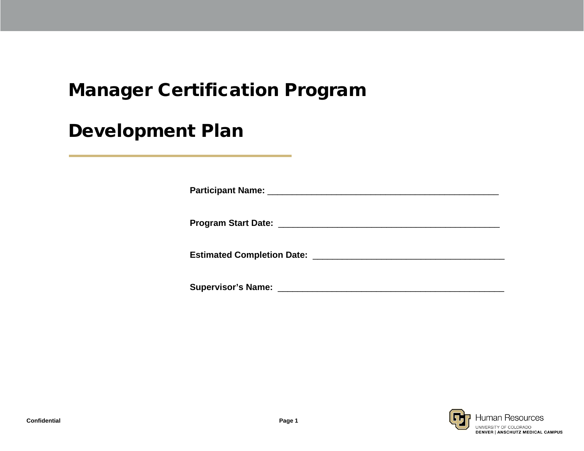# Manager Certification Program

# Development Plan

| Participant Name: Name: Name and Allen Manual Allen Manual Allen Manual Allen Manual Allen Manual Allen Manual |  |
|----------------------------------------------------------------------------------------------------------------|--|
| Program Start Date: New York Start Date:                                                                       |  |
| <b>Estimated Completion Date:</b>                                                                              |  |

**Supervisor's Name:** \_\_\_\_\_\_\_\_\_\_\_\_\_\_\_\_\_\_\_\_\_\_\_\_\_\_\_\_\_\_\_\_\_\_\_\_\_\_\_\_\_\_\_\_\_\_

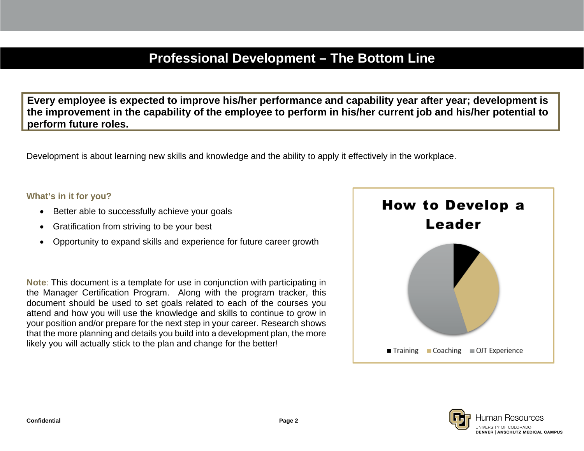## **Professional Development – The Bottom Line**

**Every employee is expected to improve his/her performance and capability year after year; development is the improvement in the capability of the employee to perform in his/her current job and his/her potential to perform future roles.**

Development is about learning new skills and knowledge and the ability to apply it effectively in the workplace.

#### **What's in it for you?**

- Better able to successfully achieve your goals
- Gratification from striving to be your best
- Opportunity to expand skills and experience for future career growth

**Note**: This document is a template for use in conjunction with participating in the Manager Certification Program. Along with the program tracker, this document should be used to set goals related to each of the courses you attend and how you will use the knowledge and skills to continue to grow in your position and/or prepare for the next step in your career. Research shows that the more planning and details you build into a development plan, the more likely you will actually stick to the plan and change for the better!



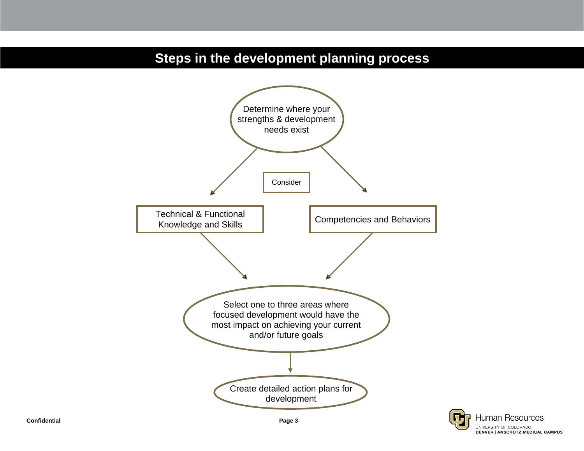## **Steps in the development planning process**



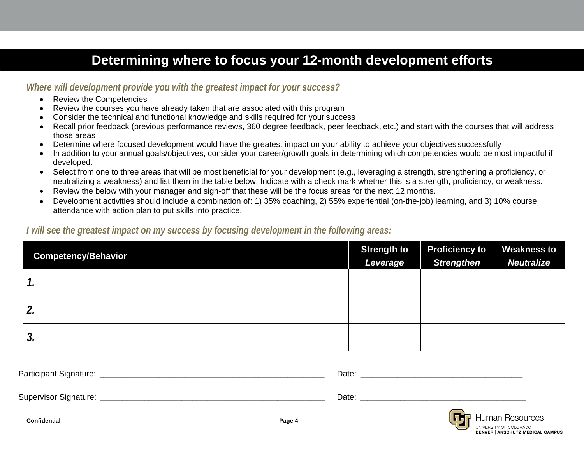## **Determining where to focus your 12-month development efforts**

#### *Where will development provide you with the greatest impact for your success?*

- Review the Competencies
- Review the courses you have already taken that are associated with this program
- Consider the technical and functional knowledge and skills required for your success
- Recall prior feedback (previous performance reviews, 360 degree feedback, peer feedback, etc.) and start with the courses that will address those areas
- Determine where focused development would have the greatest impact on your ability to achieve your objectives successfully
- In addition to your annual goals/objectives, consider your career/growth goals in determining which competencies would be most impactful if developed.
- Select from one to three areas that will be most beneficial for your development (e.g., leveraging a strength, strengthening a proficiency, or neutralizing a weakness) and list them in the table below. Indicate with a check mark whether this is a strength, proficiency, orweakness.
- Review the below with your manager and sign-off that these will be the focus areas for the next 12 months.
- Development activities should include a combination of: 1) 35% coaching, 2) 55% experiential (on-the-job) learning, and 3) 10% course attendance with action plan to put skills into practice.

#### *I will see the greatest impact on my success by focusing development in the following areas:*

| <b>Competency/Behavior</b> | <b>Strength to</b><br>Leverage | <b>Proficiency to</b><br><b>Strengthen</b> | <b>Weakness to</b><br><b>Neutralize</b> |
|----------------------------|--------------------------------|--------------------------------------------|-----------------------------------------|
| 1.                         |                                |                                            |                                         |
| 2.                         |                                |                                            |                                         |
| 3.                         |                                |                                            |                                         |

| Participant Signature: | Date:  |                 |
|------------------------|--------|-----------------|
| Supervisor Signature:  | Date:  |                 |
| <b>Confidential</b>    | Page 4 | Human Resources |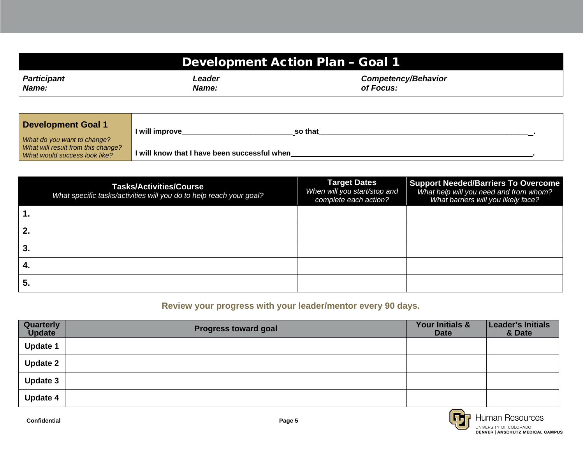| Development Action Plan - Goal 1 |              |                            |  |  |
|----------------------------------|--------------|----------------------------|--|--|
| <b>Participant</b>               | Leader       | <b>Competency/Behavior</b> |  |  |
| Name:                            | <b>Name:</b> | of Focus:                  |  |  |

| <b>Development Goal 1</b>                                         | I will improve<br>so that                    |  |
|-------------------------------------------------------------------|----------------------------------------------|--|
| What do you want to change?<br>What will result from this change? |                                              |  |
| What would success look like?                                     | I will know that I have been successful when |  |

|     | <b>Tasks/Activities/Course</b><br>What specific tasks/activities will you do to help reach your goal? | <b>Target Dates</b><br>When will you start/stop and<br>complete each action? | <b>Support Needed/Barriers To Overcome</b><br>What help will you need and from whom?<br>What barriers will you likely face? |
|-----|-------------------------------------------------------------------------------------------------------|------------------------------------------------------------------------------|-----------------------------------------------------------------------------------------------------------------------------|
|     |                                                                                                       |                                                                              |                                                                                                                             |
| 2.  |                                                                                                       |                                                                              |                                                                                                                             |
| 3.  |                                                                                                       |                                                                              |                                                                                                                             |
| -4. |                                                                                                       |                                                                              |                                                                                                                             |
| 5.  |                                                                                                       |                                                                              |                                                                                                                             |

### **Review your progress with your leader/mentor every 90 days.**

| Quarterly<br><b>Update</b> | <b>Progress toward goal</b> | Your Initials &<br><b>Date</b> | Leader's Initials<br>& Date |
|----------------------------|-----------------------------|--------------------------------|-----------------------------|
| <b>Update 1</b>            |                             |                                |                             |
| <b>Update 2</b>            |                             |                                |                             |
| <b>Update 3</b>            |                             |                                |                             |
| <b>Update 4</b>            |                             |                                |                             |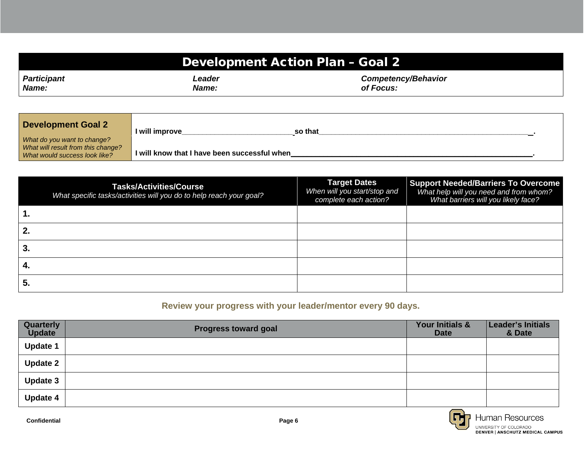| Development Action Plan - Goal 2 |              |                            |  |  |
|----------------------------------|--------------|----------------------------|--|--|
| <b>Participant</b>               | Leader       | <b>Competency/Behavior</b> |  |  |
| Name:                            | <b>Name:</b> | of Focus:                  |  |  |

| <b>Development Goal 2</b>                                           | I will improve<br>so that                    |  |
|---------------------------------------------------------------------|----------------------------------------------|--|
| What do you want to change?                                         |                                              |  |
| What will result from this change?<br>What would success look like? | I will know that I have been successful when |  |

|     | <b>Tasks/Activities/Course</b><br>What specific tasks/activities will you do to help reach your goal? | <b>Target Dates</b><br>When will you start/stop and<br>complete each action? | <b>Support Needed/Barriers To Overcome</b><br>What help will you need and from whom?<br>What barriers will you likely face? |
|-----|-------------------------------------------------------------------------------------------------------|------------------------------------------------------------------------------|-----------------------------------------------------------------------------------------------------------------------------|
|     |                                                                                                       |                                                                              |                                                                                                                             |
| 2.  |                                                                                                       |                                                                              |                                                                                                                             |
| 3.  |                                                                                                       |                                                                              |                                                                                                                             |
| -4. |                                                                                                       |                                                                              |                                                                                                                             |
| 5.  |                                                                                                       |                                                                              |                                                                                                                             |

### **Review your progress with your leader/mentor every 90 days.**

| Quarterly<br><b>Update</b> | <b>Progress toward goal</b> | Your Initials &<br><b>Date</b> | Leader's Initials<br>& Date |
|----------------------------|-----------------------------|--------------------------------|-----------------------------|
| <b>Update 1</b>            |                             |                                |                             |
| <b>Update 2</b>            |                             |                                |                             |
| <b>Update 3</b>            |                             |                                |                             |
| <b>Update 4</b>            |                             |                                |                             |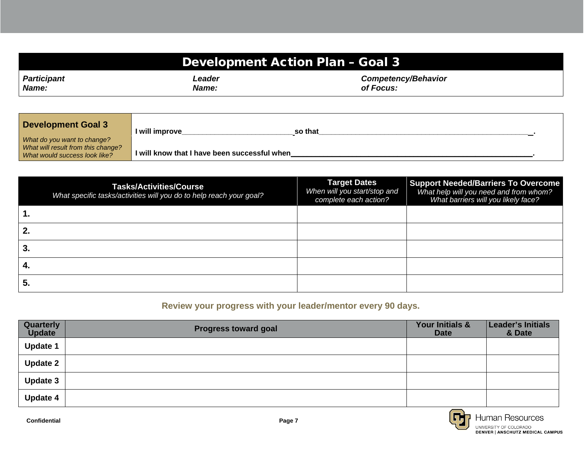| <b>Development Action Plan - Goal 3</b> |        |                            |  |  |
|-----------------------------------------|--------|----------------------------|--|--|
| <b>Participant</b>                      | Leader | <b>Competency/Behavior</b> |  |  |
| Name:                                   | Name:  | of Focus:                  |  |  |

| <b>Development Goal 3</b>                                         | I will improve<br>so that                    |
|-------------------------------------------------------------------|----------------------------------------------|
| What do you want to change?<br>What will result from this change? |                                              |
| What would success look like?                                     | I will know that I have been successful when |

|     | <b>Tasks/Activities/Course</b><br>What specific tasks/activities will you do to help reach your goal? | <b>Target Dates</b><br>When will you start/stop and<br>complete each action? | <b>Support Needed/Barriers To Overcome</b><br>What help will you need and from whom?<br>What barriers will you likely face? |
|-----|-------------------------------------------------------------------------------------------------------|------------------------------------------------------------------------------|-----------------------------------------------------------------------------------------------------------------------------|
|     |                                                                                                       |                                                                              |                                                                                                                             |
| 2.  |                                                                                                       |                                                                              |                                                                                                                             |
| 3.  |                                                                                                       |                                                                              |                                                                                                                             |
| -4. |                                                                                                       |                                                                              |                                                                                                                             |
| 5.  |                                                                                                       |                                                                              |                                                                                                                             |

### **Review your progress with your leader/mentor every 90 days.**

| Quarterly<br><b>Update</b> | <b>Progress toward goal</b> | Your Initials &<br><b>Date</b> | Leader's Initials<br>& Date |
|----------------------------|-----------------------------|--------------------------------|-----------------------------|
| <b>Update 1</b>            |                             |                                |                             |
| <b>Update 2</b>            |                             |                                |                             |
| <b>Update 3</b>            |                             |                                |                             |
| <b>Update 4</b>            |                             |                                |                             |